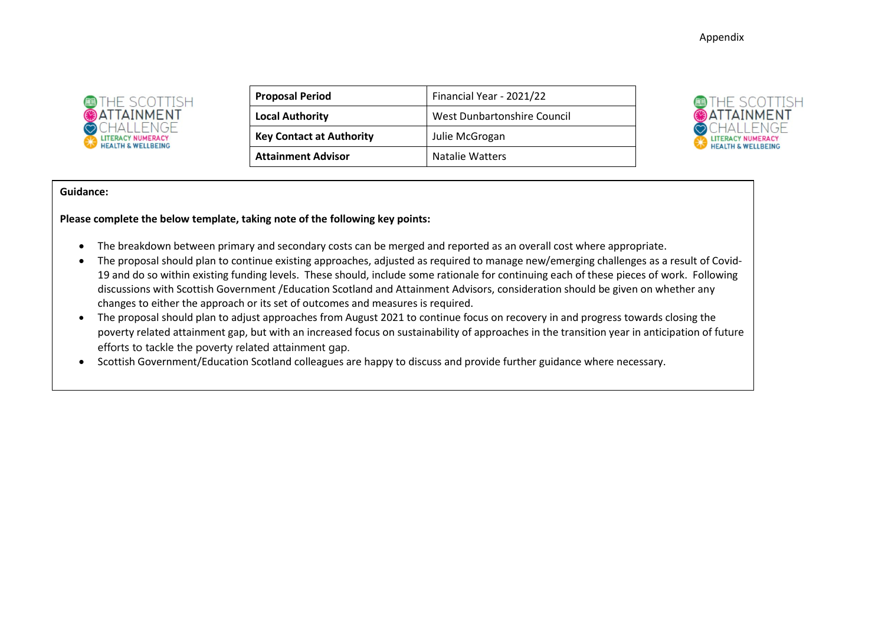Appendix



| <b>Proposal Period</b>          | Financial Year - 2021/22    |
|---------------------------------|-----------------------------|
| <b>Local Authority</b>          | West Dunbartonshire Council |
| <b>Key Contact at Authority</b> | Julie McGrogan              |
| <b>Attainment Advisor</b>       | <b>Natalie Watters</b>      |



#### **Guidance:**

**Please complete the below template, taking note of the following key points:**

- The breakdown between primary and secondary costs can be merged and reported as an overall cost where appropriate.
- The proposal should plan to continue existing approaches, adjusted as required to manage new/emerging challenges as a result of Covid-19 and do so within existing funding levels. These should, include some rationale for continuing each of these pieces of work. Following discussions with Scottish Government /Education Scotland and Attainment Advisors, consideration should be given on whether any changes to either the approach or its set of outcomes and measures is required.
- The proposal should plan to adjust approaches from August 2021 to continue focus on recovery in and progress towards closing the poverty related attainment gap, but with an increased focus on sustainability of approaches in the transition year in anticipation of future efforts to tackle the poverty related attainment gap.
- Scottish Government/Education Scotland colleagues are happy to discuss and provide further guidance where necessary.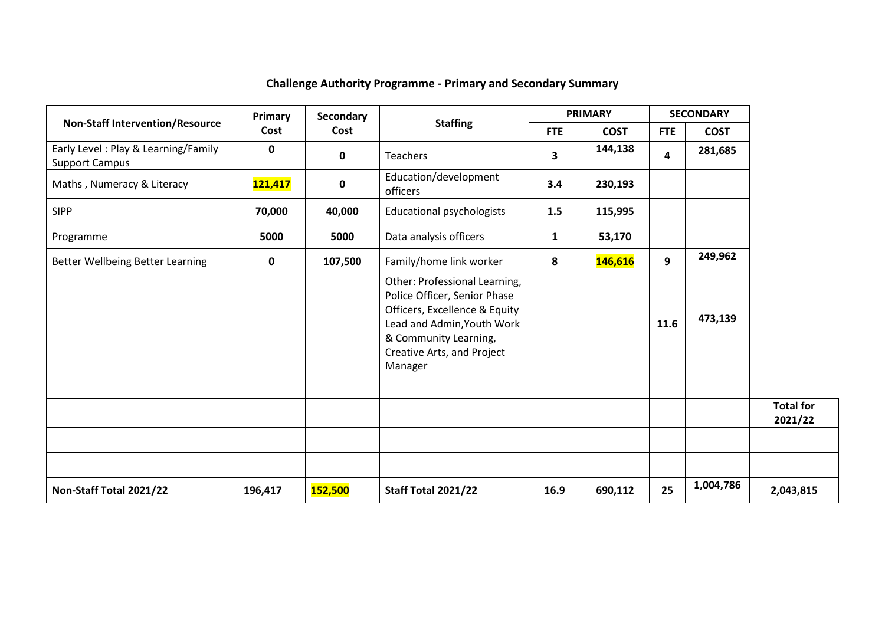# **Challenge Authority Programme - Primary and Secondary Summary**

|                                                              | Primary        | Secondary | <b>Staffing</b>                                                                                                                                                                                |              | <b>PRIMARY</b> |                         | <b>SECONDARY</b> |                             |
|--------------------------------------------------------------|----------------|-----------|------------------------------------------------------------------------------------------------------------------------------------------------------------------------------------------------|--------------|----------------|-------------------------|------------------|-----------------------------|
| <b>Non-Staff Intervention/Resource</b>                       | Cost           | Cost      |                                                                                                                                                                                                | <b>FTE</b>   | <b>COST</b>    | <b>FTE</b>              | <b>COST</b>      |                             |
| Early Level: Play & Learning/Family<br><b>Support Campus</b> | 0              | 0         | <b>Teachers</b>                                                                                                                                                                                | 3            | 144,138        | $\overline{\mathbf{4}}$ | 281,685          |                             |
| Maths, Numeracy & Literacy                                   | <b>121,417</b> | 0         | Education/development<br>officers                                                                                                                                                              | 3.4          | 230,193        |                         |                  |                             |
| <b>SIPP</b>                                                  | 70,000         | 40,000    | <b>Educational psychologists</b>                                                                                                                                                               | 1.5          | 115,995        |                         |                  |                             |
| Programme                                                    | 5000           | 5000      | Data analysis officers                                                                                                                                                                         | $\mathbf{1}$ | 53,170         |                         |                  |                             |
| Better Wellbeing Better Learning                             | 0              | 107,500   | Family/home link worker                                                                                                                                                                        | 8            | 146,616        | 9                       | 249,962          |                             |
|                                                              |                |           | Other: Professional Learning,<br>Police Officer, Senior Phase<br>Officers, Excellence & Equity<br>Lead and Admin, Youth Work<br>& Community Learning,<br>Creative Arts, and Project<br>Manager |              |                | 11.6                    | 473,139          |                             |
|                                                              |                |           |                                                                                                                                                                                                |              |                |                         |                  | <b>Total for</b><br>2021/22 |
|                                                              |                |           |                                                                                                                                                                                                |              |                |                         |                  |                             |
| Non-Staff Total 2021/22                                      | 196,417        | 152,500   | Staff Total 2021/22                                                                                                                                                                            | 16.9         | 690,112        | 25                      | 1,004,786        | 2,043,815                   |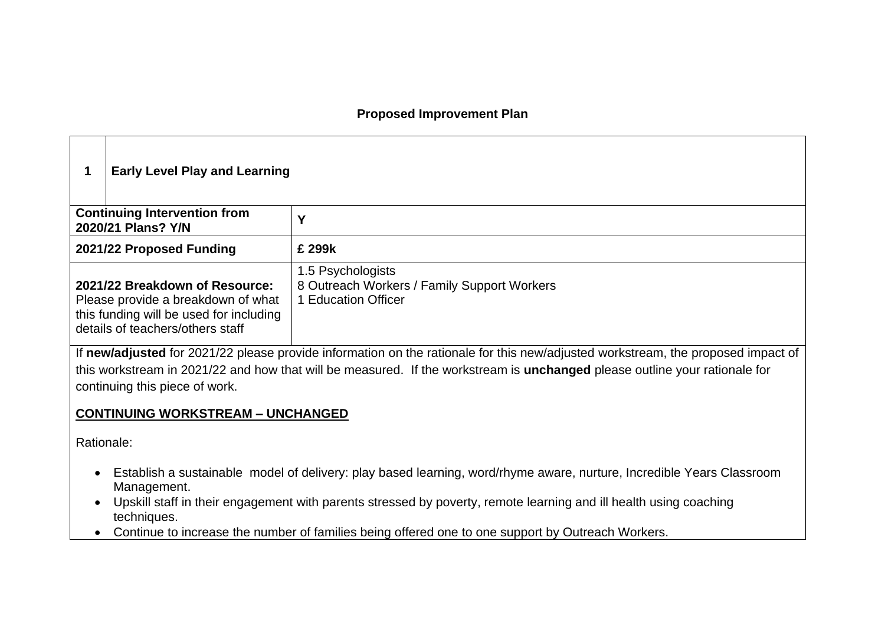## **Proposed Improvement Plan**

|                                                                                                                                                                                                                                                                                                  | <b>Early Level Play and Learning</b>                      |                                                                                         |  |
|--------------------------------------------------------------------------------------------------------------------------------------------------------------------------------------------------------------------------------------------------------------------------------------------------|-----------------------------------------------------------|-----------------------------------------------------------------------------------------|--|
|                                                                                                                                                                                                                                                                                                  | <b>Continuing Intervention from</b><br>2020/21 Plans? Y/N | Υ                                                                                       |  |
|                                                                                                                                                                                                                                                                                                  | 2021/22 Proposed Funding                                  | £ 299k                                                                                  |  |
| 2021/22 Breakdown of Resource:<br>Please provide a breakdown of what<br>this funding will be used for including<br>details of teachers/others staff                                                                                                                                              |                                                           | 1.5 Psychologists<br>8 Outreach Workers / Family Support Workers<br>1 Education Officer |  |
| If new/adjusted for 2021/22 please provide information on the rationale for this new/adjusted workstream, the proposed impact of<br>this workstream in 2021/22 and how that will be measured. If the workstream is unchanged please outline your rationale for<br>continuing this piece of work. |                                                           |                                                                                         |  |

### **CONTINUING WORKSTREAM – UNCHANGED**

Rationale:

- Establish a sustainable model of delivery: play based learning, word/rhyme aware, nurture, Incredible Years Classroom Management.
- Upskill staff in their engagement with parents stressed by poverty, remote learning and ill health using coaching techniques.
- Continue to increase the number of families being offered one to one support by Outreach Workers.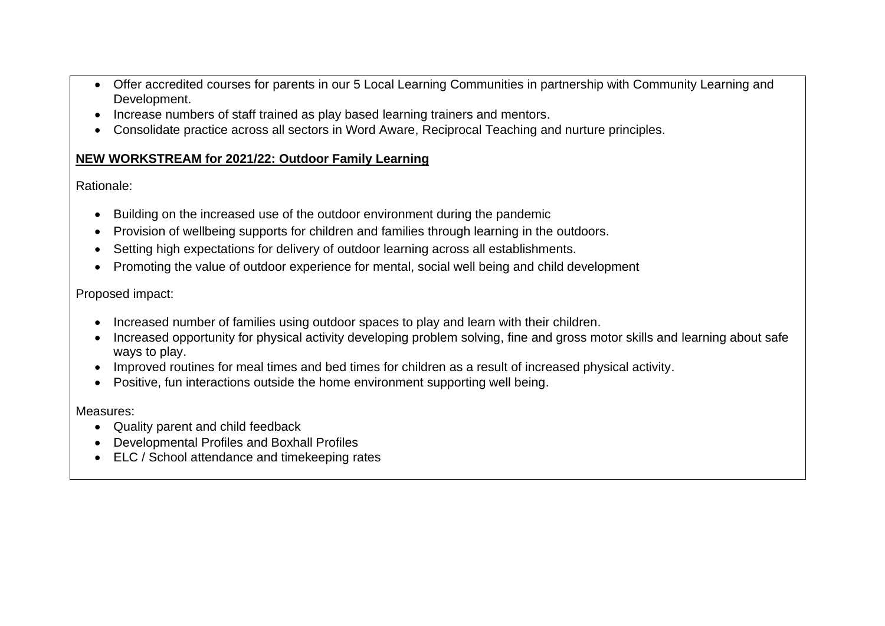- Offer accredited courses for parents in our 5 Local Learning Communities in partnership with Community Learning and Development.
- Increase numbers of staff trained as play based learning trainers and mentors.
- Consolidate practice across all sectors in Word Aware, Reciprocal Teaching and nurture principles.

# **NEW WORKSTREAM for 2021/22: Outdoor Family Learning**

Rationale:

- Building on the increased use of the outdoor environment during the pandemic
- Provision of wellbeing supports for children and families through learning in the outdoors.
- Setting high expectations for delivery of outdoor learning across all establishments.
- Promoting the value of outdoor experience for mental, social well being and child development

Proposed impact:

- Increased number of families using outdoor spaces to play and learn with their children.
- Increased opportunity for physical activity developing problem solving, fine and gross motor skills and learning about safe ways to play.
- Improved routines for meal times and bed times for children as a result of increased physical activity.
- Positive, fun interactions outside the home environment supporting well being.

Measures:

- Quality parent and child feedback
- Developmental Profiles and Boxhall Profiles
- ELC / School attendance and timekeeping rates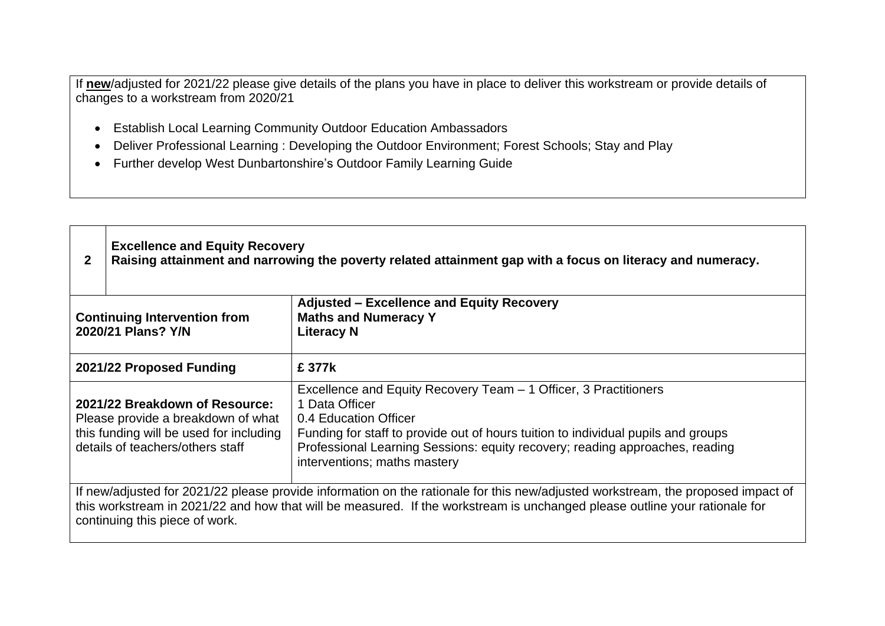If **new**/adjusted for 2021/22 please give details of the plans you have in place to deliver this workstream or provide details of changes to a workstream from 2020/21

- Establish Local Learning Community Outdoor Education Ambassadors
- Deliver Professional Learning : Developing the Outdoor Environment; Forest Schools; Stay and Play
- Further develop West Dunbartonshire's Outdoor Family Learning Guide

| $\mathbf{2}$                                                                                                                                                                                                                                                                                                                                                                                                                                                            | <b>Excellence and Equity Recovery</b><br>Raising attainment and narrowing the poverty related attainment gap with a focus on literacy and numeracy.               |        |  |
|-------------------------------------------------------------------------------------------------------------------------------------------------------------------------------------------------------------------------------------------------------------------------------------------------------------------------------------------------------------------------------------------------------------------------------------------------------------------------|-------------------------------------------------------------------------------------------------------------------------------------------------------------------|--------|--|
|                                                                                                                                                                                                                                                                                                                                                                                                                                                                         | <b>Adjusted – Excellence and Equity Recovery</b><br><b>Maths and Numeracy Y</b><br><b>Continuing Intervention from</b><br>2020/21 Plans? Y/N<br><b>Literacy N</b> |        |  |
|                                                                                                                                                                                                                                                                                                                                                                                                                                                                         | 2021/22 Proposed Funding                                                                                                                                          | £ 377k |  |
| Excellence and Equity Recovery Team – 1 Officer, 3 Practitioners<br>1 Data Officer<br>2021/22 Breakdown of Resource:<br>0.4 Education Officer<br>Please provide a breakdown of what<br>this funding will be used for including<br>Funding for staff to provide out of hours tuition to individual pupils and groups<br>details of teachers/others staff<br>Professional Learning Sessions: equity recovery; reading approaches, reading<br>interventions; maths mastery |                                                                                                                                                                   |        |  |
| If new/adjusted for 2021/22 please provide information on the rationale for this new/adjusted workstream, the proposed impact of<br>this workstream in 2021/22 and how that will be measured. If the workstream is unchanged please outline your rationale for<br>continuing this piece of work.                                                                                                                                                                        |                                                                                                                                                                   |        |  |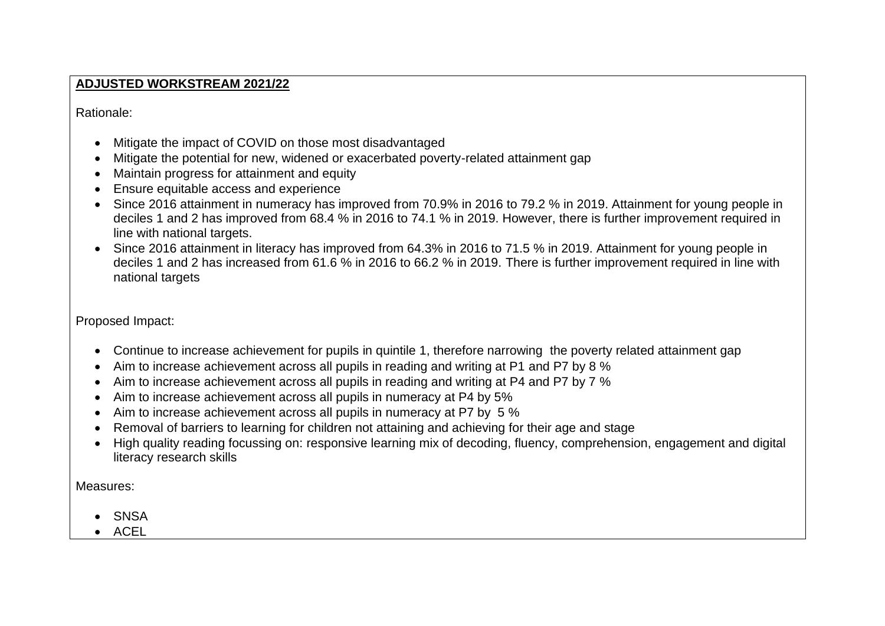### **ADJUSTED WORKSTREAM 2021/22**

Rationale:

- Mitigate the impact of COVID on those most disadvantaged
- Mitigate the potential for new, widened or exacerbated poverty-related attainment gap
- Maintain progress for attainment and equity
- Ensure equitable access and experience
- Since 2016 attainment in numeracy has improved from 70.9% in 2016 to 79.2 % in 2019. Attainment for young people in deciles 1 and 2 has improved from 68.4 % in 2016 to 74.1 % in 2019. However, there is further improvement required in line with national targets.
- Since 2016 attainment in literacy has improved from 64.3% in 2016 to 71.5 % in 2019. Attainment for young people in deciles 1 and 2 has increased from 61.6 % in 2016 to 66.2 % in 2019. There is further improvement required in line with national targets

Proposed Impact:

- Continue to increase achievement for pupils in quintile 1, therefore narrowing the poverty related attainment gap
- Aim to increase achievement across all pupils in reading and writing at P1 and P7 by 8 %
- Aim to increase achievement across all pupils in reading and writing at P4 and P7 by 7 %
- Aim to increase achievement across all pupils in numeracy at P4 by 5%
- Aim to increase achievement across all pupils in numeracy at P7 by 5 %
- Removal of barriers to learning for children not attaining and achieving for their age and stage
- High quality reading focussing on: responsive learning mix of decoding, fluency, comprehension, engagement and digital literacy research skills

Measures:

- SNSA
- ACEL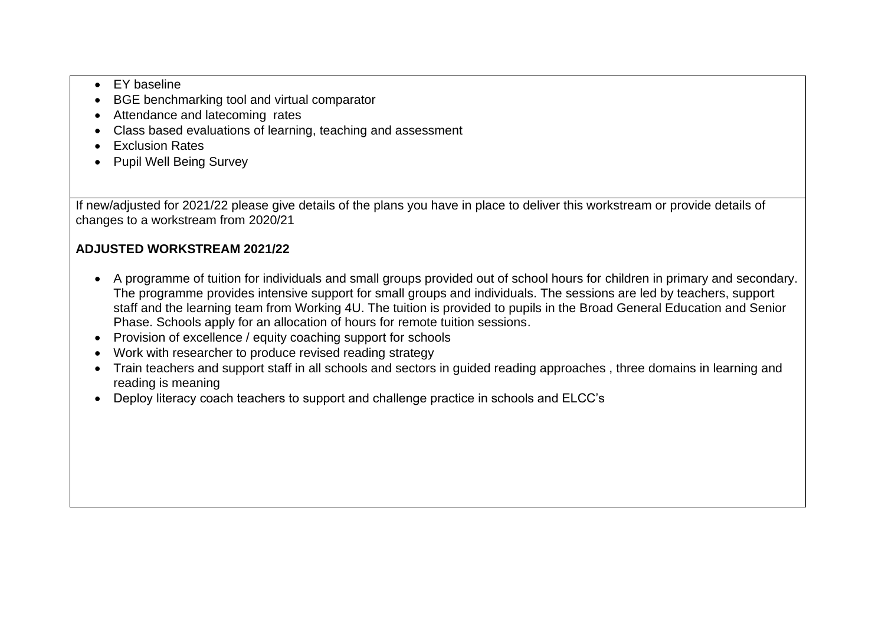- EY baseline
- BGE benchmarking tool and virtual comparator
- Attendance and latecoming rates
- Class based evaluations of learning, teaching and assessment
- Exclusion Rates
- Pupil Well Being Survey

If new/adjusted for 2021/22 please give details of the plans you have in place to deliver this workstream or provide details of changes to a workstream from 2020/21

# **ADJUSTED WORKSTREAM 2021/22**

- A programme of tuition for individuals and small groups provided out of school hours for children in primary and secondary. The programme provides intensive support for small groups and individuals. The sessions are led by teachers, support staff and the learning team from Working 4U. The tuition is provided to pupils in the Broad General Education and Senior Phase. Schools apply for an allocation of hours for remote tuition sessions.
- Provision of excellence / equity coaching support for schools
- Work with researcher to produce revised reading strategy
- Train teachers and support staff in all schools and sectors in guided reading approaches , three domains in learning and reading is meaning
- Deploy literacy coach teachers to support and challenge practice in schools and ELCC's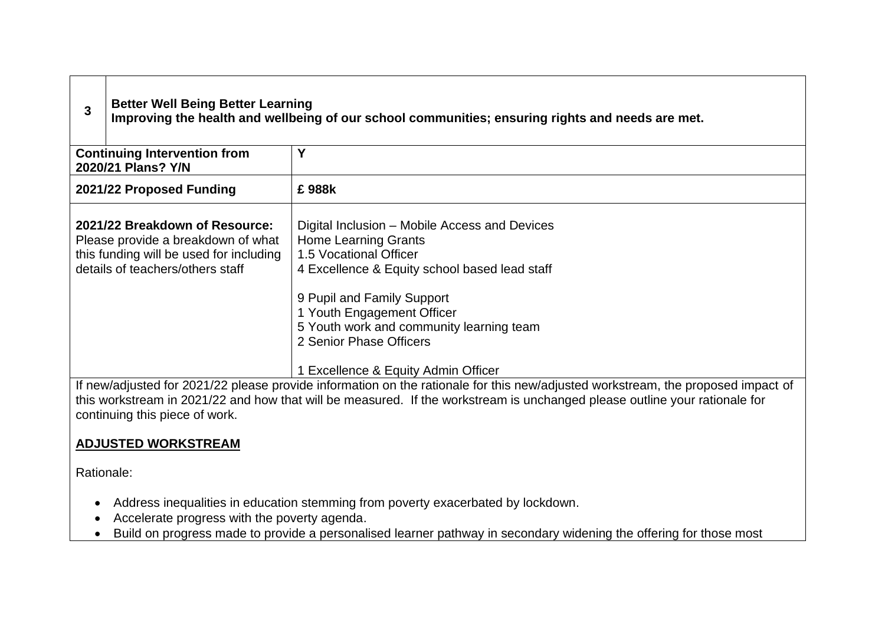| <b>Better Well Being Better Learning</b><br>Improving the health and wellbeing of our school communities; ensuring rights and needs are met.                                                                                                                                                                                                                          |  |
|-----------------------------------------------------------------------------------------------------------------------------------------------------------------------------------------------------------------------------------------------------------------------------------------------------------------------------------------------------------------------|--|
| Υ                                                                                                                                                                                                                                                                                                                                                                     |  |
| £988k                                                                                                                                                                                                                                                                                                                                                                 |  |
| Digital Inclusion - Mobile Access and Devices<br><b>Home Learning Grants</b><br>1.5 Vocational Officer<br>4 Excellence & Equity school based lead staff<br>9 Pupil and Family Support<br>1 Youth Engagement Officer<br>5 Youth work and community learning team<br>2 Senior Phase Officers                                                                            |  |
| 1 Excellence & Equity Admin Officer<br>If new/adjusted for 2021/22 please provide information on the rationale for this new/adjusted workstream, the proposed impact of<br>this workstream in 2021/22 and how that will be measured. If the workstream is unchanged please outline your rationale for<br>continuing this piece of work.<br><b>ADJUSTED WORKSTREAM</b> |  |
|                                                                                                                                                                                                                                                                                                                                                                       |  |

Rationale:

 $\Gamma$ 

┑

- Address inequalities in education stemming from poverty exacerbated by lockdown.
- Accelerate progress with the poverty agenda.
- Build on progress made to provide a personalised learner pathway in secondary widening the offering for those most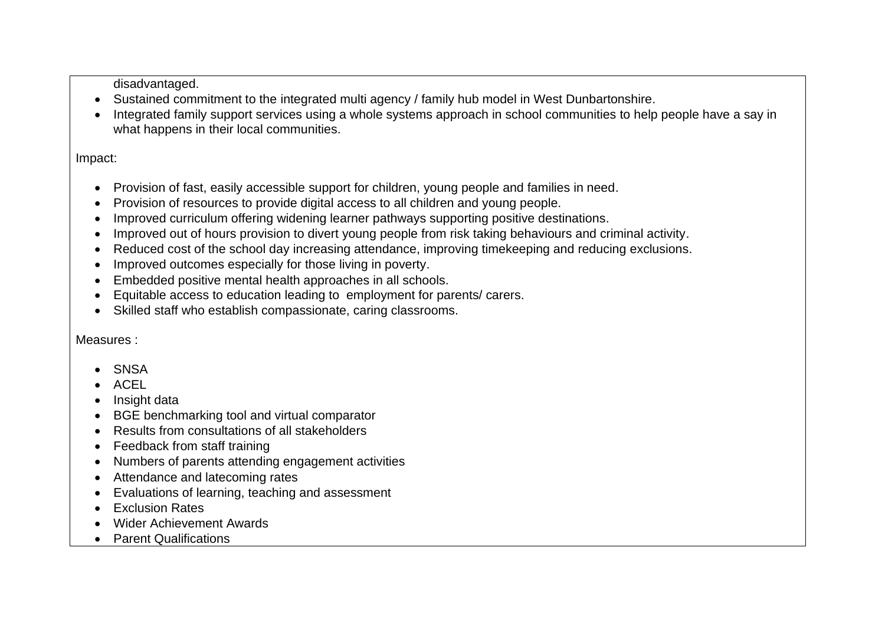disadvantaged.

- Sustained commitment to the integrated multi agency / family hub model in West Dunbartonshire.
- Integrated family support services using a whole systems approach in school communities to help people have a say in what happens in their local communities.

Impact:

- Provision of fast, easily accessible support for children, young people and families in need.
- Provision of resources to provide digital access to all children and young people.
- Improved curriculum offering widening learner pathways supporting positive destinations.
- Improved out of hours provision to divert young people from risk taking behaviours and criminal activity.
- Reduced cost of the school day increasing attendance, improving timekeeping and reducing exclusions.
- Improved outcomes especially for those living in poverty.
- Embedded positive mental health approaches in all schools.
- Equitable access to education leading to employment for parents/ carers.
- Skilled staff who establish compassionate, caring classrooms.

Measures :

- **SNSA**
- ACEL
- Insight data
- BGE benchmarking tool and virtual comparator
- Results from consultations of all stakeholders
- Feedback from staff training
- Numbers of parents attending engagement activities
- Attendance and latecoming rates
- Evaluations of learning, teaching and assessment
- Exclusion Rates
- Wider Achievement Awards
- Parent Qualifications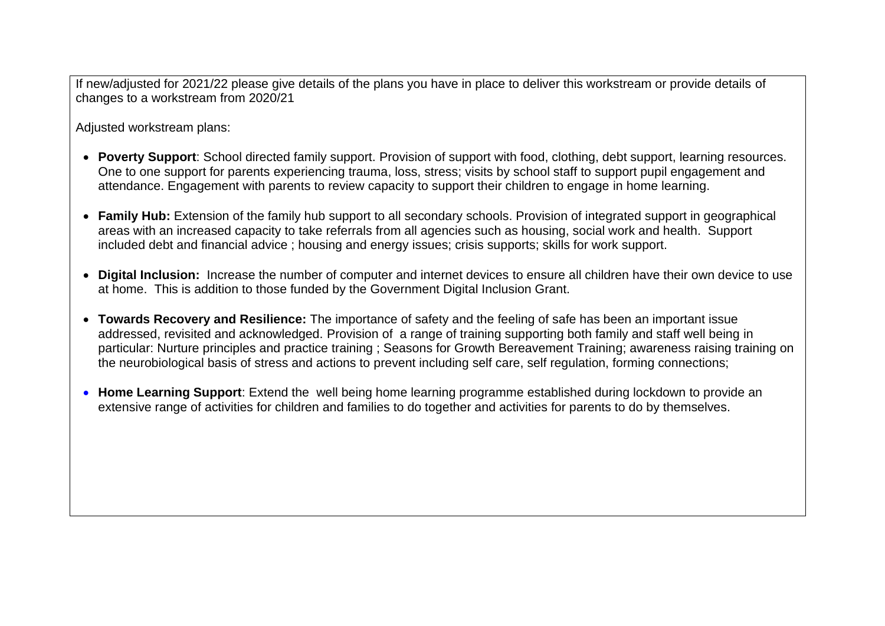If new/adjusted for 2021/22 please give details of the plans you have in place to deliver this workstream or provide details of changes to a workstream from 2020/21

Adjusted workstream plans:

- **Poverty Support**: School directed family support. Provision of support with food, clothing, debt support, learning resources. One to one support for parents experiencing trauma, loss, stress; visits by school staff to support pupil engagement and attendance. Engagement with parents to review capacity to support their children to engage in home learning.
- **Family Hub:** Extension of the family hub support to all secondary schools. Provision of integrated support in geographical areas with an increased capacity to take referrals from all agencies such as housing, social work and health. Support included debt and financial advice ; housing and energy issues; crisis supports; skills for work support.
- **Digital Inclusion:** Increase the number of computer and internet devices to ensure all children have their own device to use at home. This is addition to those funded by the Government Digital Inclusion Grant.
- **Towards Recovery and Resilience:** The importance of safety and the feeling of safe has been an important issue addressed, revisited and acknowledged. Provision of a range of training supporting both family and staff well being in particular: Nurture principles and practice training ; Seasons for Growth Bereavement Training; awareness raising training on the neurobiological basis of stress and actions to prevent including self care, self regulation, forming connections;
- **Home Learning Support**: Extend the well being home learning programme established during lockdown to provide an extensive range of activities for children and families to do together and activities for parents to do by themselves.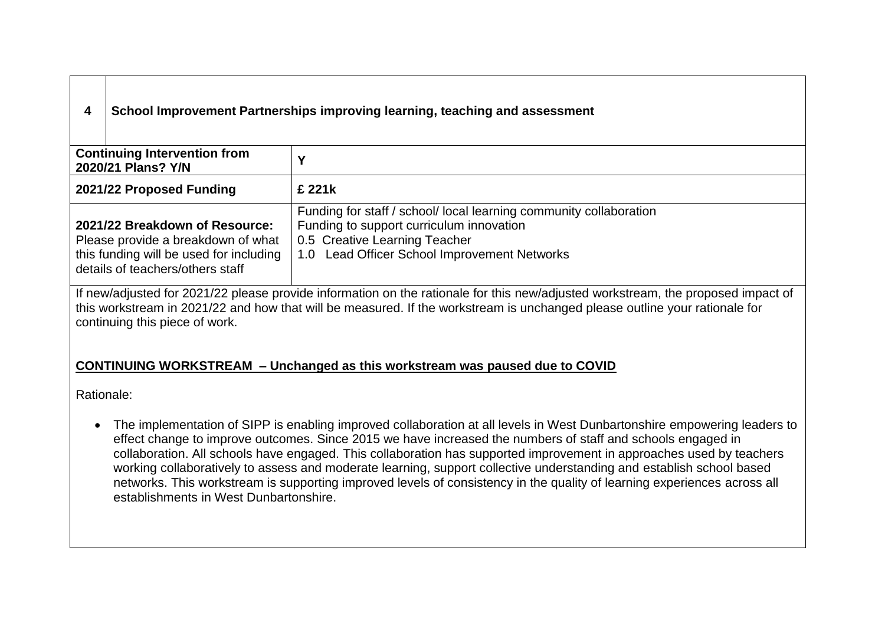# **4 School Improvement Partnerships improving learning, teaching and assessment**

| <b>Continuing Intervention from</b><br>2020/21 Plans? Y/N                                                                                           |                                                                                                                                                                                                 |  |  |
|-----------------------------------------------------------------------------------------------------------------------------------------------------|-------------------------------------------------------------------------------------------------------------------------------------------------------------------------------------------------|--|--|
| 2021/22 Proposed Funding                                                                                                                            | £ 221k                                                                                                                                                                                          |  |  |
| 2021/22 Breakdown of Resource:<br>Please provide a breakdown of what<br>this funding will be used for including<br>details of teachers/others staff | Funding for staff / school/ local learning community collaboration<br>Funding to support curriculum innovation<br>0.5 Creative Learning Teacher<br>1.0 Lead Officer School Improvement Networks |  |  |
| If a quite divided for 0004/00 places provide information and he retionals for this possible integrated were described proposed important of        |                                                                                                                                                                                                 |  |  |

If new/adjusted for 2021/22 please provide information on the rationale for this new/adjusted workstream, the proposed impact of this workstream in 2021/22 and how that will be measured. If the workstream is unchanged please outline your rationale for continuing this piece of work.

### **CONTINUING WORKSTREAM – Unchanged as this workstream was paused due to COVID**

Rationale:

• The implementation of SIPP is enabling improved collaboration at all levels in West Dunbartonshire empowering leaders to effect change to improve outcomes. Since 2015 we have increased the numbers of staff and schools engaged in collaboration. All schools have engaged. This collaboration has supported improvement in approaches used by teachers working collaboratively to assess and moderate learning, support collective understanding and establish school based networks. This workstream is supporting improved levels of consistency in the quality of learning experiences across all establishments in West Dunbartonshire.